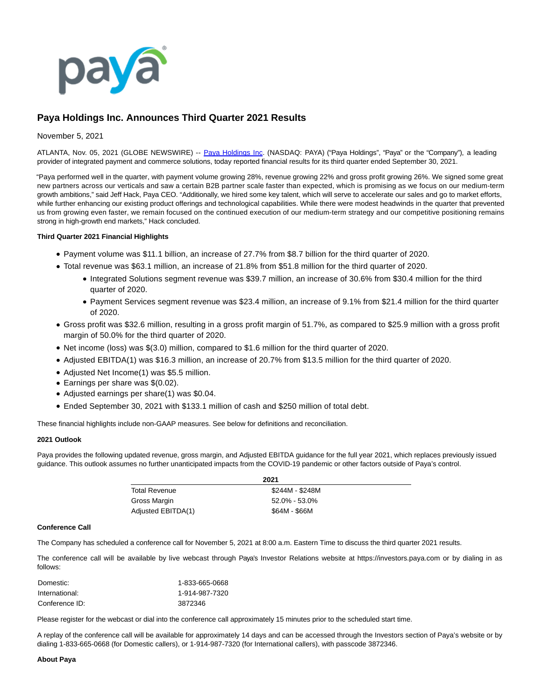

# **Paya Holdings Inc. Announces Third Quarter 2021 Results**

# November 5, 2021

ATLANTA, Nov. 05, 2021 (GLOBE NEWSWIRE) -- [Paya Holdings Inc.](https://www.globenewswire.com/Tracker?data=PIauZ_seBWqLbNAozpBwBM1g4hEueSUhi__BhEVw6-OTvJqt2F8cnR2Bf2wm0bLQkbNAowwrTqbSOh_KeLGuig==) (NASDAQ: PAYA) ("Paya Holdings", "Paya" or the "Company"), a leading provider of integrated payment and commerce solutions, today reported financial results for its third quarter ended September 30, 2021.

"Paya performed well in the quarter, with payment volume growing 28%, revenue growing 22% and gross profit growing 26%. We signed some great new partners across our verticals and saw a certain B2B partner scale faster than expected, which is promising as we focus on our medium-term growth ambitions," said Jeff Hack, Paya CEO. "Additionally, we hired some key talent, which will serve to accelerate our sales and go to market efforts, while further enhancing our existing product offerings and technological capabilities. While there were modest headwinds in the quarter that prevented us from growing even faster, we remain focused on the continued execution of our medium-term strategy and our competitive positioning remains strong in high-growth end markets," Hack concluded.

# **Third Quarter 2021 Financial Highlights**

- Payment volume was \$11.1 billion, an increase of 27.7% from \$8.7 billion for the third quarter of 2020.
- Total revenue was \$63.1 million, an increase of 21.8% from \$51.8 million for the third quarter of 2020.
	- Integrated Solutions segment revenue was \$39.7 million, an increase of 30.6% from \$30.4 million for the third quarter of 2020.
	- Payment Services segment revenue was \$23.4 million, an increase of 9.1% from \$21.4 million for the third quarter of 2020.
- Gross profit was \$32.6 million, resulting in a gross profit margin of 51.7%, as compared to \$25.9 million with a gross profit margin of 50.0% for the third quarter of 2020.
- Net income (loss) was \$(3.0) million, compared to \$1.6 million for the third quarter of 2020.
- Adjusted EBITDA(1) was \$16.3 million, an increase of 20.7% from \$13.5 million for the third quarter of 2020.
- Adjusted Net Income(1) was \$5.5 million.
- Earnings per share was \$(0.02).
- Adjusted earnings per share(1) was \$0.04.
- Ended September 30, 2021 with \$133.1 million of cash and \$250 million of total debt.

These financial highlights include non-GAAP measures. See below for definitions and reconciliation.

### **2021 Outlook**

Paya provides the following updated revenue, gross margin, and Adjusted EBITDA guidance for the full year 2021, which replaces previously issued guidance. This outlook assumes no further unanticipated impacts from the COVID-19 pandemic or other factors outside of Paya's control.

| 2021                 |                   |  |  |  |  |
|----------------------|-------------------|--|--|--|--|
| <b>Total Revenue</b> | \$244M - \$248M   |  |  |  |  |
| Gross Margin         | $52.0\% - 53.0\%$ |  |  |  |  |
| Adjusted EBITDA(1)   | \$64M - \$66M     |  |  |  |  |

#### **Conference Call**

The Company has scheduled a conference call for November 5, 2021 at 8:00 a.m. Eastern Time to discuss the third quarter 2021 results.

The conference call will be available by live webcast through Paya's Investor Relations website at https://investors.paya.com or by dialing in as follows:

| Domestic:      | 1-833-665-0668 |
|----------------|----------------|
| International: | 1-914-987-7320 |
| Conference ID: | 3872346        |

Please register for the webcast or dial into the conference call approximately 15 minutes prior to the scheduled start time.

A replay of the conference call will be available for approximately 14 days and can be accessed through the Investors section of Paya's website or by dialing 1-833-665-0668 (for Domestic callers), or 1-914-987-7320 (for International callers), with passcode 3872346.

#### **About Paya**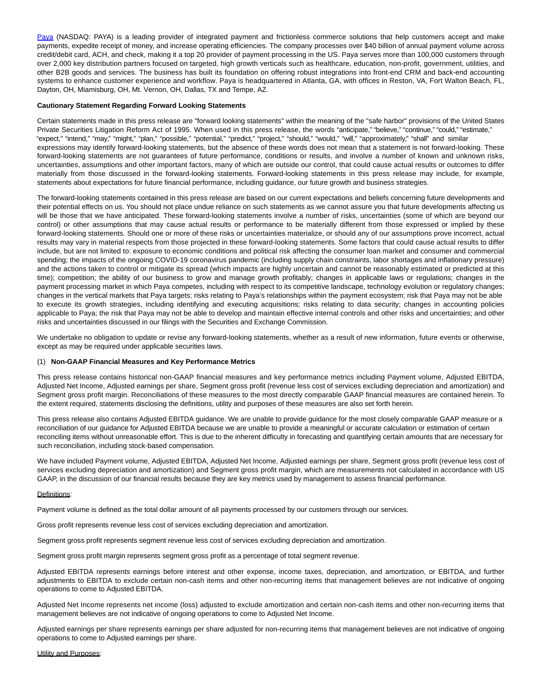[Paya](https://www.globenewswire.com/Tracker?data=nnQVjIiRnP6HeymHCATTypTE74lUqG8EoqV8ekG1T1FYpYOEf_XKPdmBvhKMnBLe) (NASDAQ: PAYA) is a leading provider of integrated payment and frictionless commerce solutions that help customers accept and make payments, expedite receipt of money, and increase operating efficiencies. The company processes over \$40 billion of annual payment volume across credit/debit card, ACH, and check, making it a top 20 provider of payment processing in the US. Paya serves more than 100,000 customers through over 2,000 key distribution partners focused on targeted, high growth verticals such as healthcare, education, non-profit, government, utilities, and other B2B goods and services. The business has built its foundation on offering robust integrations into front-end CRM and back-end accounting systems to enhance customer experience and workflow. Paya is headquartered in Atlanta, GA, with offices in Reston, VA, Fort Walton Beach, FL, Dayton, OH, Miamisburg, OH, Mt. Vernon, OH, Dallas, TX and Tempe, AZ.

#### **Cautionary Statement Regarding Forward Looking Statements**

Certain statements made in this press release are "forward looking statements" within the meaning of the "safe harbor" provisions of the United States Private Securities Litigation Reform Act of 1995. When used in this press release, the words "anticipate," "believe," "continue," "could," "estimate," "expect," "intend," "may," "might," "plan," "possible," "potential," "predict," "project," "should," "would," "will," "approximately," "shall" and similar expressions may identify forward-looking statements, but the absence of these words does not mean that a statement is not forward-looking. These forward-looking statements are not guarantees of future performance, conditions or results, and involve a number of known and unknown risks, uncertainties, assumptions and other important factors, many of which are outside our control, that could cause actual results or outcomes to differ materially from those discussed in the forward-looking statements. Forward-looking statements in this press release may include, for example, statements about expectations for future financial performance, including guidance, our future growth and business strategies.

The forward-looking statements contained in this press release are based on our current expectations and beliefs concerning future developments and their potential effects on us. You should not place undue reliance on such statements as we cannot assure you that future developments affecting us will be those that we have anticipated. These forward-looking statements involve a number of risks, uncertainties (some of which are beyond our control) or other assumptions that may cause actual results or performance to be materially different from those expressed or implied by these forward-looking statements. Should one or more of these risks or uncertainties materialize, or should any of our assumptions prove incorrect, actual results may vary in material respects from those projected in these forward-looking statements. Some factors that could cause actual results to differ include, but are not limited to: exposure to economic conditions and political risk affecting the consumer loan market and consumer and commercial spending; the impacts of the ongoing COVID-19 coronavirus pandemic (including supply chain constraints, labor shortages and inflationary pressure) and the actions taken to control or mitigate its spread (which impacts are highly uncertain and cannot be reasonably estimated or predicted at this time); competition; the ability of our business to grow and manage growth profitably; changes in applicable laws or regulations; changes in the payment processing market in which Paya competes, including with respect to its competitive landscape, technology evolution or regulatory changes; changes in the vertical markets that Paya targets; risks relating to Paya's relationships within the payment ecosystem; risk that Paya may not be able to execute its growth strategies, including identifying and executing acquisitions; risks relating to data security; changes in accounting policies applicable to Paya; the risk that Paya may not be able to develop and maintain effective internal controls and other risks and uncertainties; and other risks and uncertainties discussed in our filings with the Securities and Exchange Commission.

We undertake no obligation to update or revise any forward-looking statements, whether as a result of new information, future events or otherwise, except as may be required under applicable securities laws.

### (1) **Non-GAAP Financial Measures and Key Performance Metrics**

This press release contains historical non-GAAP financial measures and key performance metrics including Payment volume, Adjusted EBITDA, Adjusted Net Income, Adjusted earnings per share, Segment gross profit (revenue less cost of services excluding depreciation and amortization) and Segment gross profit margin. Reconciliations of these measures to the most directly comparable GAAP financial measures are contained herein. To the extent required, statements disclosing the definitions, utility and purposes of these measures are also set forth herein.

This press release also contains Adjusted EBITDA guidance. We are unable to provide guidance for the most closely comparable GAAP measure or a reconciliation of our guidance for Adjusted EBITDA because we are unable to provide a meaningful or accurate calculation or estimation of certain reconciling items without unreasonable effort. This is due to the inherent difficulty in forecasting and quantifying certain amounts that are necessary for such reconciliation, including stock-based compensation.

We have included Payment volume, Adjusted EBITDA, Adjusted Net Income, Adjusted earnings per share, Segment gross profit (revenue less cost of services excluding depreciation and amortization) and Segment gross profit margin, which are measurements not calculated in accordance with US GAAP, in the discussion of our financial results because they are key metrics used by management to assess financial performance.

#### Definitions:

Payment volume is defined as the total dollar amount of all payments processed by our customers through our services.

Gross profit represents revenue less cost of services excluding depreciation and amortization.

Segment gross profit represents segment revenue less cost of services excluding depreciation and amortization.

Segment gross profit margin represents segment gross profit as a percentage of total segment revenue.

Adjusted EBITDA represents earnings before interest and other expense, income taxes, depreciation, and amortization, or EBITDA, and further adjustments to EBITDA to exclude certain non-cash items and other non-recurring items that management believes are not indicative of ongoing operations to come to Adjusted EBITDA.

Adjusted Net Income represents net income (loss) adjusted to exclude amortization and certain non-cash items and other non-recurring items that management believes are not indicative of ongoing operations to come to Adjusted Net Income.

Adjusted earnings per share represents earnings per share adjusted for non-recurring items that management believes are not indicative of ongoing operations to come to Adjusted earnings per share.

Utility and Purposes: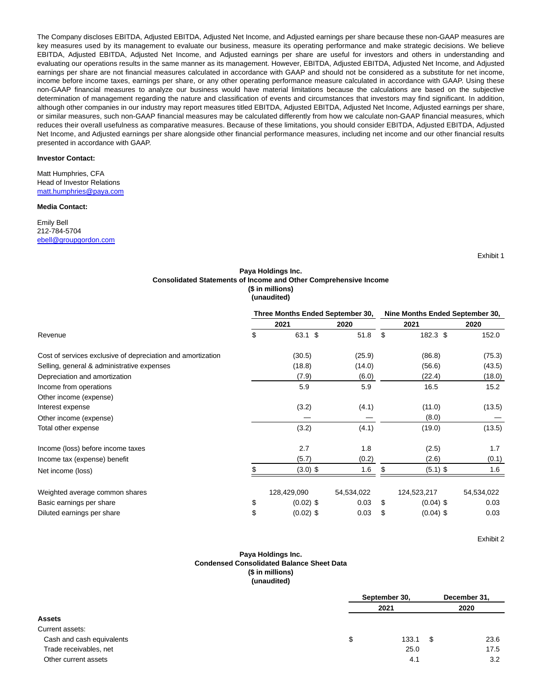The Company discloses EBITDA, Adjusted EBITDA, Adjusted Net Income, and Adjusted earnings per share because these non-GAAP measures are key measures used by its management to evaluate our business, measure its operating performance and make strategic decisions. We believe EBITDA, Adjusted EBITDA, Adjusted Net Income, and Adjusted earnings per share are useful for investors and others in understanding and evaluating our operations results in the same manner as its management. However, EBITDA, Adjusted EBITDA, Adjusted Net Income, and Adjusted earnings per share are not financial measures calculated in accordance with GAAP and should not be considered as a substitute for net income, income before income taxes, earnings per share, or any other operating performance measure calculated in accordance with GAAP. Using these non-GAAP financial measures to analyze our business would have material limitations because the calculations are based on the subjective determination of management regarding the nature and classification of events and circumstances that investors may find significant. In addition, although other companies in our industry may report measures titled EBITDA, Adjusted EBITDA, Adjusted Net Income, Adjusted earnings per share, or similar measures, such non-GAAP financial measures may be calculated differently from how we calculate non-GAAP financial measures, which reduces their overall usefulness as comparative measures. Because of these limitations, you should consider EBITDA, Adjusted EBITDA, Adjusted Net Income, and Adjusted earnings per share alongside other financial performance measures, including net income and our other financial results presented in accordance with GAAP.

#### **Investor Contact:**

Matt Humphries, CFA Head of Investor Relations [matt.humphries@paya.com](https://www.globenewswire.com/Tracker?data=vpl49TX5W0m4P8Mbp46z5O9t5mVdDN2XjE-1WLvorQqYbPMns8VckACLtxU6aXoLuR2BlYSllufGFGo75r0i8IcPmHCa2Ay8CyCyBH2YLDQ=)

#### **Media Contact:**

Emily Bell 212-784-5704 [ebell@groupgordon.com](https://www.globenewswire.com/Tracker?data=TASjj6EHfQKK0RCWVxAcUkzlAoT9gL4_ld43Atdi0Xc1mgarfnYZMmxE_gaoh70wKqhMySUQZv51nxhZ2OqnX3VLXCiH9D61exY139oLzsQ=)

Exhibit 1

### **Paya Holdings Inc. Consolidated Statements of Income and Other Comprehensive Income (\$ in millions) (unaudited)**

|                                                             |    | Three Months Ended September 30, |            | Nine Months Ended September 30, |             |            |
|-------------------------------------------------------------|----|----------------------------------|------------|---------------------------------|-------------|------------|
|                                                             |    | 2021                             | 2020       |                                 | 2021        | 2020       |
| Revenue                                                     | \$ | 63.1 \$                          | 51.8       | \$                              | 182.3 \$    | 152.0      |
| Cost of services exclusive of depreciation and amortization |    | (30.5)                           | (25.9)     |                                 | (86.8)      | (75.3)     |
| Selling, general & administrative expenses                  |    | (18.8)                           | (14.0)     |                                 | (56.6)      | (43.5)     |
| Depreciation and amortization                               |    | (7.9)                            | (6.0)      |                                 | (22.4)      | (18.0)     |
| Income from operations                                      |    | 5.9                              | 5.9        |                                 | 16.5        | 15.2       |
| Other income (expense)                                      |    |                                  |            |                                 |             |            |
| Interest expense                                            |    | (3.2)                            | (4.1)      |                                 | (11.0)      | (13.5)     |
| Other income (expense)                                      |    |                                  |            |                                 | (8.0)       |            |
| Total other expense                                         |    | (3.2)                            | (4.1)      |                                 | (19.0)      | (13.5)     |
| Income (loss) before income taxes                           |    | 2.7                              | 1.8        |                                 | (2.5)       | 1.7        |
| Income tax (expense) benefit                                |    | (5.7)                            | (0.2)      |                                 | (2.6)       | (0.1)      |
| Net income (loss)                                           |    | $(3.0)$ \$                       | 1.6        |                                 | $(5.1)$ \$  | 1.6        |
| Weighted average common shares                              |    | 128,429,090                      | 54,534,022 |                                 | 124,523,217 | 54,534,022 |
| Basic earnings per share                                    | \$ | $(0.02)$ \$                      | 0.03       | \$                              | $(0.04)$ \$ | 0.03       |
| Diluted earnings per share                                  | \$ | $(0.02)$ \$                      | 0.03       | \$                              | $(0.04)$ \$ | 0.03       |

Exhibit 2

### **Paya Holdings Inc. Condensed Consolidated Balance Sheet Data (\$ in millions) (unaudited)**

|                           | September 30, | December 31, |  |  |
|---------------------------|---------------|--------------|--|--|
|                           | 2021          | 2020         |  |  |
| <b>Assets</b>             |               |              |  |  |
| Current assets:           |               |              |  |  |
| Cash and cash equivalents | \$<br>133.1   | \$<br>23.6   |  |  |
| Trade receivables, net    | 25.0          | 17.5         |  |  |
| Other current assets      | 4.1           | 3.2          |  |  |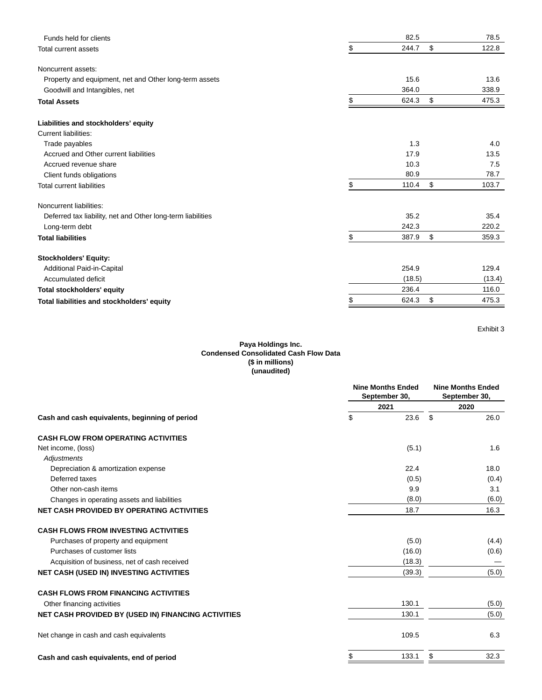| Funds held for clients                                      | 82.5        | 78.5        |
|-------------------------------------------------------------|-------------|-------------|
| <b>Total current assets</b>                                 | \$<br>244.7 | \$<br>122.8 |
| Noncurrent assets:                                          |             |             |
| Property and equipment, net and Other long-term assets      | 15.6        | 13.6        |
| Goodwill and Intangibles, net                               | 364.0       | 338.9       |
| <b>Total Assets</b>                                         | \$<br>624.3 | \$<br>475.3 |
| Liabilities and stockholders' equity                        |             |             |
| <b>Current liabilities:</b>                                 |             |             |
| Trade payables                                              | 1.3         | 4.0         |
| Accrued and Other current liabilities                       | 17.9        | 13.5        |
| Accrued revenue share                                       | 10.3        | 7.5         |
| Client funds obligations                                    | 80.9        | 78.7        |
| <b>Total current liabilities</b>                            | \$<br>110.4 | \$<br>103.7 |
| Noncurrent liabilities:                                     |             |             |
| Deferred tax liability, net and Other long-term liabilities | 35.2        | 35.4        |
| Long-term debt                                              | 242.3       | 220.2       |
| <b>Total liabilities</b>                                    | \$<br>387.9 | \$<br>359.3 |
| <b>Stockholders' Equity:</b>                                |             |             |
| Additional Paid-in-Capital                                  | 254.9       | 129.4       |
| Accumulated deficit                                         | (18.5)      | (13.4)      |
| <b>Total stockholders' equity</b>                           | 236.4       | 116.0       |
| Total liabilities and stockholders' equity                  | \$<br>624.3 | \$<br>475.3 |
|                                                             |             |             |

Exhibit 3

# **Paya Holdings Inc. Condensed Consolidated Cash Flow Data (\$ in millions) (unaudited)**

|                                                            | <b>Nine Months Ended</b><br>September 30, |    |       |
|------------------------------------------------------------|-------------------------------------------|----|-------|
| Cash and cash equivalents, beginning of period             | 2021                                      |    | 2020  |
|                                                            | \$<br>23.6                                | \$ | 26.0  |
| <b>CASH FLOW FROM OPERATING ACTIVITIES</b>                 |                                           |    |       |
| Net income, (loss)                                         | (5.1)                                     |    | 1.6   |
| Adjustments                                                |                                           |    |       |
| Depreciation & amortization expense                        | 22.4                                      |    | 18.0  |
| Deferred taxes                                             | (0.5)                                     |    | (0.4) |
| Other non-cash items                                       | 9.9                                       |    | 3.1   |
| Changes in operating assets and liabilities                | (8.0)                                     |    | (6.0) |
| NET CASH PROVIDED BY OPERATING ACTIVITIES                  | 18.7                                      |    | 16.3  |
| <b>CASH FLOWS FROM INVESTING ACTIVITIES</b>                |                                           |    |       |
| Purchases of property and equipment                        | (5.0)                                     |    | (4.4) |
| Purchases of customer lists                                | (16.0)                                    |    | (0.6) |
| Acquisition of business, net of cash received              | (18.3)                                    |    |       |
| <b>NET CASH (USED IN) INVESTING ACTIVITIES</b>             | (39.3)                                    |    | (5.0) |
| <b>CASH FLOWS FROM FINANCING ACTIVITIES</b>                |                                           |    |       |
| Other financing activities                                 | 130.1                                     |    | (5.0) |
| <b>NET CASH PROVIDED BY (USED IN) FINANCING ACTIVITIES</b> | 130.1                                     |    | (5.0) |
| Net change in cash and cash equivalents                    | 109.5                                     |    | 6.3   |
| Cash and cash equivalents, end of period                   | \$<br>133.1                               | \$ | 32.3  |
|                                                            |                                           |    |       |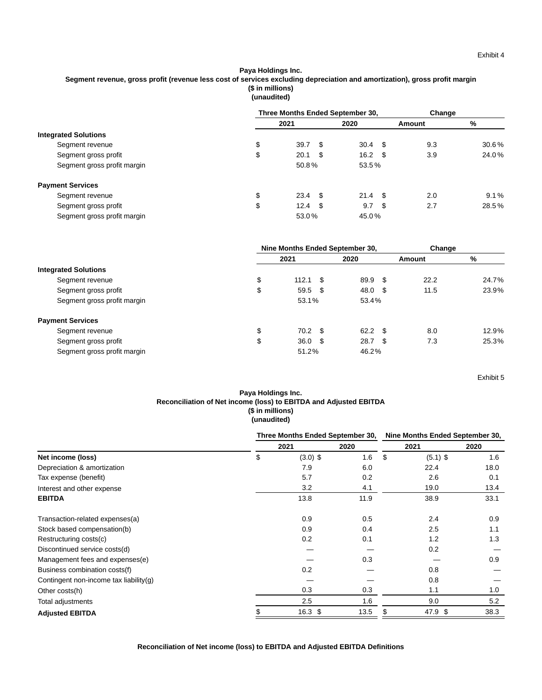# **Paya Holdings Inc. Segment revenue, gross profit (revenue less cost of services excluding depreciation and amortization), gross profit margin (\$ in millions) (unaudited)**

|                             | Three Months Ended September 30, |       |       |       | Change |        |       |
|-----------------------------|----------------------------------|-------|-------|-------|--------|--------|-------|
|                             |                                  | 2021  |       | 2020  |        | Amount | %     |
| <b>Integrated Solutions</b> |                                  |       |       |       |        |        |       |
| Segment revenue             | \$                               | 39.7  | - \$  | 30.4  | - \$   | 9.3    | 30.6% |
| Segment gross profit        | \$                               | 20.1  | \$    | 16.2  | - \$   | 3.9    | 24.0% |
| Segment gross profit margin | 50.8%                            |       | 53.5% |       |        |        |       |
| <b>Payment Services</b>     |                                  |       |       |       |        |        |       |
| Segment revenue             | \$                               | 23.4  | - \$  | 21.4  | - \$   | 2.0    | 9.1%  |
| Segment gross profit        | \$                               | 12.4  | - \$  | 9.7   | - \$   | 2.7    | 28.5% |
| Segment gross profit margin |                                  | 53.0% |       | 45.0% |        |        |       |

|                             | Nine Months Ended September 30, |       | Change        |       |
|-----------------------------|---------------------------------|-------|---------------|-------|
|                             | 2021                            | 2020  | <b>Amount</b> | %     |
| <b>Integrated Solutions</b> |                                 |       |               |       |
| Segment revenue             | \$<br>112.1<br>-S               | 89.9  | 22.2<br>- \$  | 24.7% |
| Segment gross profit        | \$<br>59.5<br>- \$              | 48.0  | 11.5<br>- \$  | 23.9% |
| Segment gross profit margin | 53.1%                           |       |               |       |
| <b>Payment Services</b>     |                                 |       |               |       |
| Segment revenue             | \$<br>70.2<br>- \$              | 62.2  | 8.0<br>- \$   | 12.9% |
| Segment gross profit        | \$<br>36.0<br>- \$              | 28.7  | 7.3<br>- \$   | 25.3% |
| Segment gross profit margin | 51.2%                           | 46.2% |               |       |

Exhibit 5

### **Paya Holdings Inc. Reconciliation of Net income (loss) to EBITDA and Adjusted EBITDA (\$ in millions) (unaudited)**

|                                        | Three Months Ended September 30, |            | Nine Months Ended September 30, |    |            |      |
|----------------------------------------|----------------------------------|------------|---------------------------------|----|------------|------|
|                                        | 2021                             |            | 2020                            |    | 2021       | 2020 |
| Net income (loss)                      | \$                               | $(3.0)$ \$ | 1.6                             | \$ | $(5.1)$ \$ | 1.6  |
| Depreciation & amortization            |                                  | 7.9        | 6.0                             |    | 22.4       | 18.0 |
| Tax expense (benefit)                  |                                  | 5.7        | 0.2                             |    | 2.6        | 0.1  |
| Interest and other expense             |                                  | 3.2        | 4.1                             |    | 19.0       | 13.4 |
| <b>EBITDA</b>                          |                                  | 13.8       | 11.9                            |    | 38.9       | 33.1 |
| Transaction-related expenses(a)        |                                  | 0.9        | 0.5                             |    | 2.4        | 0.9  |
| Stock based compensation(b)            |                                  | 0.9        | 0.4                             |    | 2.5        | 1.1  |
| Restructuring costs(c)                 |                                  | 0.2        | 0.1                             |    | 1.2        | 1.3  |
| Discontinued service costs(d)          |                                  |            |                                 |    | 0.2        |      |
| Management fees and expenses(e)        |                                  |            | 0.3                             |    |            | 0.9  |
| Business combination costs(f)          |                                  | 0.2        |                                 |    | 0.8        |      |
| Contingent non-income tax liability(g) |                                  |            |                                 |    | 0.8        |      |
| Other costs(h)                         |                                  | 0.3        | 0.3                             |    | 1.1        | 1.0  |
| Total adjustments                      |                                  | 2.5        | 1.6                             |    | 9.0        | 5.2  |
| <b>Adjusted EBITDA</b>                 |                                  | 16.3~\$    | 13.5                            |    | 47.9 \$    | 38.3 |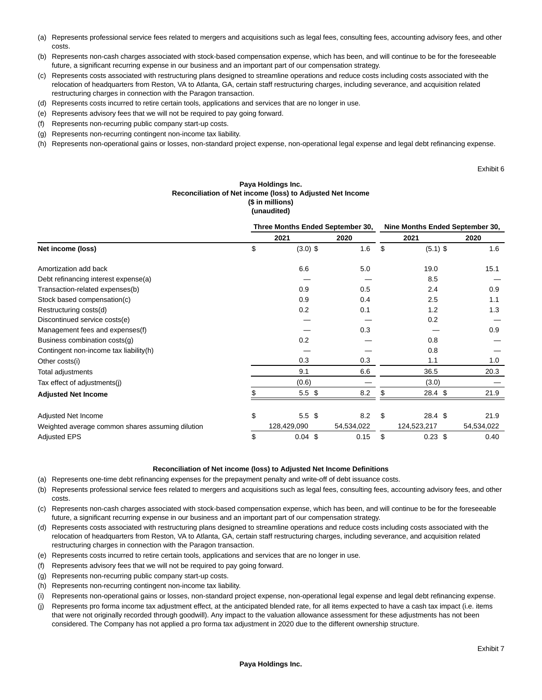- (a) Represents professional service fees related to mergers and acquisitions such as legal fees, consulting fees, accounting advisory fees, and other costs.
- (b) Represents non-cash charges associated with stock-based compensation expense, which has been, and will continue to be for the foreseeable future, a significant recurring expense in our business and an important part of our compensation strategy.
- (c) Represents costs associated with restructuring plans designed to streamline operations and reduce costs including costs associated with the relocation of headquarters from Reston, VA to Atlanta, GA, certain staff restructuring charges, including severance, and acquisition related restructuring charges in connection with the Paragon transaction.
- (d) Represents costs incurred to retire certain tools, applications and services that are no longer in use.
- (e) Represents advisory fees that we will not be required to pay going forward.
- (f) Represents non-recurring public company start-up costs.
- (g) Represents non-recurring contingent non-income tax liability.
- (h) Represents non-operational gains or losses, non-standard project expense, non-operational legal expense and legal debt refinancing expense.

Exhibit 6

# **Paya Holdings Inc. Reconciliation of Net income (loss) to Adjusted Net Income (\$ in millions) (unaudited)**

|                                                                         | Three Months Ended September 30, |                  |                    | Nine Months Ended September 30, |                          |                    |  |
|-------------------------------------------------------------------------|----------------------------------|------------------|--------------------|---------------------------------|--------------------------|--------------------|--|
|                                                                         |                                  | 2021             | 2020               | 2021                            |                          | 2020               |  |
| Net income (loss)                                                       | \$                               | $(3.0)$ \$       | 1.6                | \$                              | $(5.1)$ \$               | 1.6                |  |
| Amortization add back                                                   |                                  | 6.6              | 5.0                |                                 | 19.0                     | 15.1               |  |
| Debt refinancing interest expense(a)                                    |                                  |                  |                    |                                 | 8.5                      |                    |  |
| Transaction-related expenses(b)                                         |                                  | 0.9              | 0.5                |                                 | 2.4                      | 0.9                |  |
| Stock based compensation(c)                                             |                                  | 0.9              | 0.4                |                                 | 2.5                      | 1.1                |  |
| Restructuring costs(d)                                                  |                                  | 0.2              | 0.1                |                                 | 1.2                      | 1.3                |  |
| Discontinued service costs(e)                                           |                                  |                  |                    |                                 | 0.2                      |                    |  |
| Management fees and expenses(f)                                         |                                  |                  | 0.3                |                                 |                          | 0.9                |  |
| Business combination costs(g)                                           |                                  | 0.2              |                    |                                 | 0.8                      |                    |  |
| Contingent non-income tax liability(h)                                  |                                  |                  |                    |                                 | 0.8                      |                    |  |
| Other costs(i)                                                          |                                  | 0.3              | 0.3                |                                 | 1.1                      | 1.0                |  |
| Total adjustments                                                       |                                  | 9.1              | 6.6                |                                 | 36.5                     | 20.3               |  |
| Tax effect of adjustments(j)                                            |                                  | (0.6)            |                    |                                 | (3.0)                    |                    |  |
| <b>Adjusted Net Income</b>                                              |                                  | $5.5\;$ \$       | 8.2                |                                 | 28.4~\$                  | 21.9               |  |
| Adjusted Net Income                                                     | \$                               | 5.5 <sup>5</sup> | 8.2                | \$                              | $28.4 \text{ } $$        | 21.9               |  |
|                                                                         |                                  | 128,429,090      |                    |                                 |                          |                    |  |
| Weighted average common shares assuming dilution<br><b>Adjusted EPS</b> | \$                               | $0.04$ \$        | 54,534,022<br>0.15 | \$                              | 124,523,217<br>$0.23$ \$ | 54,534,022<br>0.40 |  |

# **Reconciliation of Net income (loss) to Adjusted Net Income Definitions**

- (a) Represents one-time debt refinancing expenses for the prepayment penalty and write-off of debt issuance costs.
- (b) Represents professional service fees related to mergers and acquisitions such as legal fees, consulting fees, accounting advisory fees, and other costs.
- (c) Represents non-cash charges associated with stock-based compensation expense, which has been, and will continue to be for the foreseeable future, a significant recurring expense in our business and an important part of our compensation strategy.
- (d) Represents costs associated with restructuring plans designed to streamline operations and reduce costs including costs associated with the relocation of headquarters from Reston, VA to Atlanta, GA, certain staff restructuring charges, including severance, and acquisition related restructuring charges in connection with the Paragon transaction.
- (e) Represents costs incurred to retire certain tools, applications and services that are no longer in use.
- (f) Represents advisory fees that we will not be required to pay going forward.
- (g) Represents non-recurring public company start-up costs.
- (h) Represents non-recurring contingent non-income tax liability.
- (i) Represents non-operational gains or losses, non-standard project expense, non-operational legal expense and legal debt refinancing expense.
- (j) Represents pro forma income tax adjustment effect, at the anticipated blended rate, for all items expected to have a cash tax impact (i.e. items that were not originally recorded through goodwill). Any impact to the valuation allowance assessment for these adjustments has not been considered. The Company has not applied a pro forma tax adjustment in 2020 due to the different ownership structure.

#### **Paya Holdings Inc.**